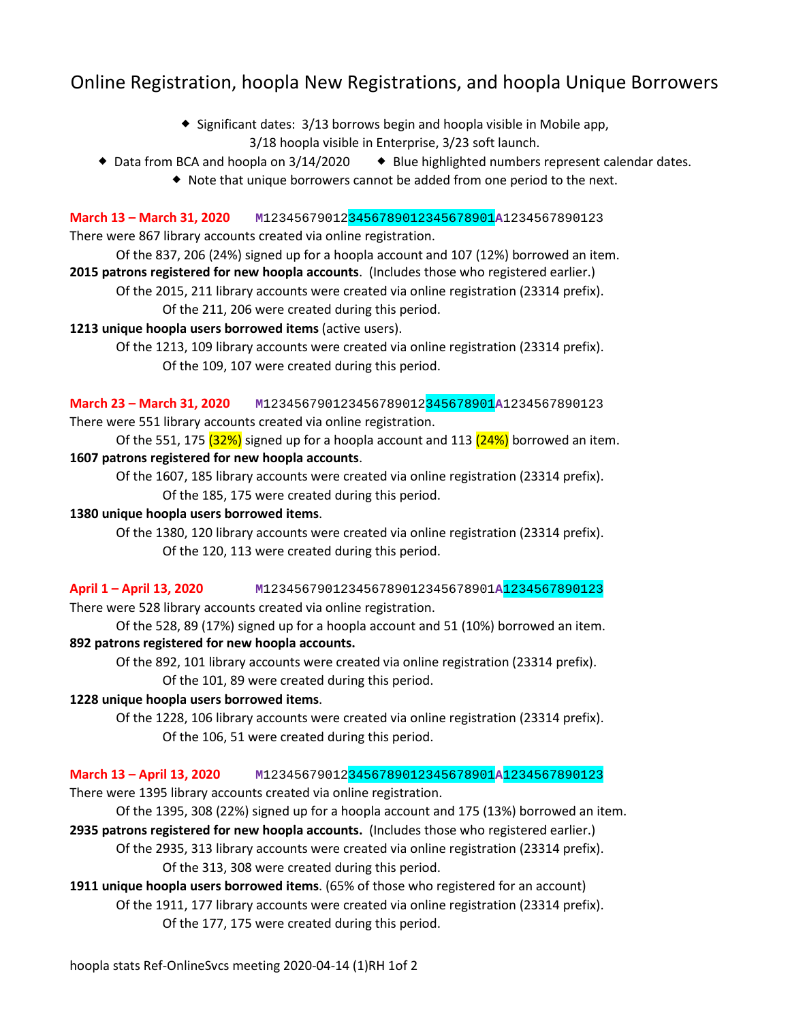# Online Registration, hoopla New Registrations, and hoopla Unique Borrowers

- $\bullet$  Significant dates: 3/13 borrows begin and hoopla visible in Mobile app, 3/18 hoopla visible in Enterprise, 3/23 soft launch.
- $\bullet$  Data from BCA and hoopla on 3/14/2020  $\bullet$  Blue highlighted numbers represent calendar dates.
	- Note that unique borrowers cannot be added from one period to the next.

**March 13 – March 31, 2020 M**123456790123456789012345678901**A**1234567890123

There were 867 library accounts created via online registration.

Of the 837, 206 (24%) signed up for a hoopla account and 107 (12%) borrowed an item. **2015 patrons registered for new hoopla accounts**. (Includes those who registered earlier.)

Of the 2015, 211 library accounts were created via online registration (23314 prefix). Of the 211, 206 were created during this period.

#### **1213 unique hoopla users borrowed items** (active users).

Of the 1213, 109 library accounts were created via online registration (23314 prefix). Of the 109, 107 were created during this period.

**March 23 – March 31, 2020 M**123456790123456789012345678901**A**1234567890123

There were 551 library accounts created via online registration.

Of the 551, 175  $(32%)$  signed up for a hoopla account and 113  $(24%)$  borrowed an item. **1607 patrons registered for new hoopla accounts**.

Of the 1607, 185 library accounts were created via online registration (23314 prefix). Of the 185, 175 were created during this period.

#### **1380 unique hoopla users borrowed items**.

Of the 1380, 120 library accounts were created via online registration (23314 prefix). Of the 120, 113 were created during this period.

**April 1 – April 13, 2020 M**123456790123456789012345678901**A**1234567890123 There were 528 library accounts created via online registration.

Of the 528, 89 (17%) signed up for a hoopla account and 51 (10%) borrowed an item. **892 patrons registered for new hoopla accounts.**

Of the 892, 101 library accounts were created via online registration (23314 prefix). Of the 101, 89 were created during this period.

### **1228 unique hoopla users borrowed items**.

Of the 1228, 106 library accounts were created via online registration (23314 prefix). Of the 106, 51 were created during this period.

### **March 13 – April 13, 2020 M**123456790123456789012345678901**A**1234567890123

There were 1395 library accounts created via online registration.

Of the 1395, 308 (22%) signed up for a hoopla account and 175 (13%) borrowed an item.

**2935 patrons registered for new hoopla accounts.** (Includes those who registered earlier.)

Of the 2935, 313 library accounts were created via online registration (23314 prefix). Of the 313, 308 were created during this period.

**1911 unique hoopla users borrowed items**. (65% of those who registered for an account)

Of the 1911, 177 library accounts were created via online registration (23314 prefix). Of the 177, 175 were created during this period.